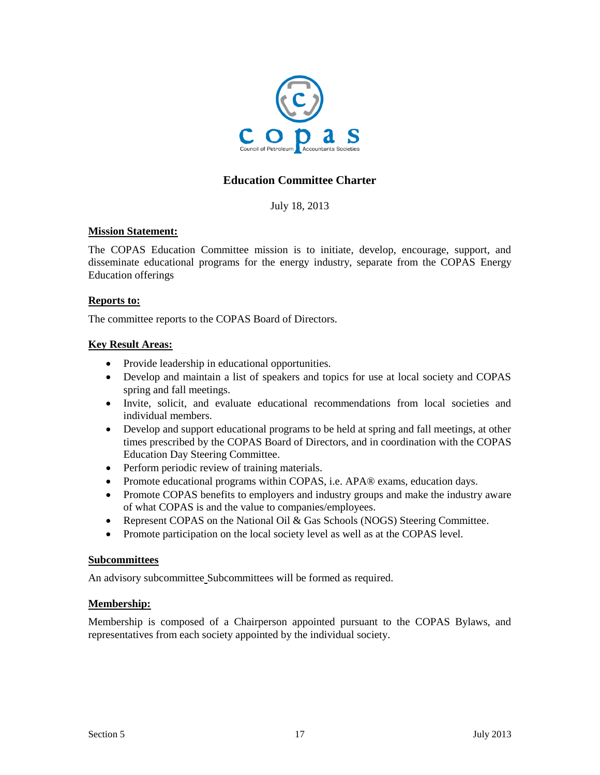

# **Education Committee Charter**

July 18, 2013

## **Mission Statement:**

The COPAS Education Committee mission is to initiate, develop, encourage, support, and disseminate educational programs for the energy industry, separate from the COPAS Energy Education offerings

#### **Reports to:**

The committee reports to the COPAS Board of Directors.

### **Key Result Areas:**

- Provide leadership in educational opportunities.
- Develop and maintain a list of speakers and topics for use at local society and COPAS spring and fall meetings.
- Invite, solicit, and evaluate educational recommendations from local societies and individual members.
- Develop and support educational programs to be held at spring and fall meetings, at other times prescribed by the COPAS Board of Directors, and in coordination with the COPAS Education Day Steering Committee.
- Perform periodic review of training materials.
- Promote educational programs within COPAS, i.e. APA® exams, education days.
- Promote COPAS benefits to employers and industry groups and make the industry aware of what COPAS is and the value to companies/employees.
- Represent COPAS on the National Oil & Gas Schools (NOGS) Steering Committee.
- Promote participation on the local society level as well as at the COPAS level.

#### **Subcommittees**

An advisory subcommittee Subcommittees will be formed as required.

### **Membership:**

Membership is composed of a Chairperson appointed pursuant to the COPAS Bylaws, and representatives from each society appointed by the individual society.